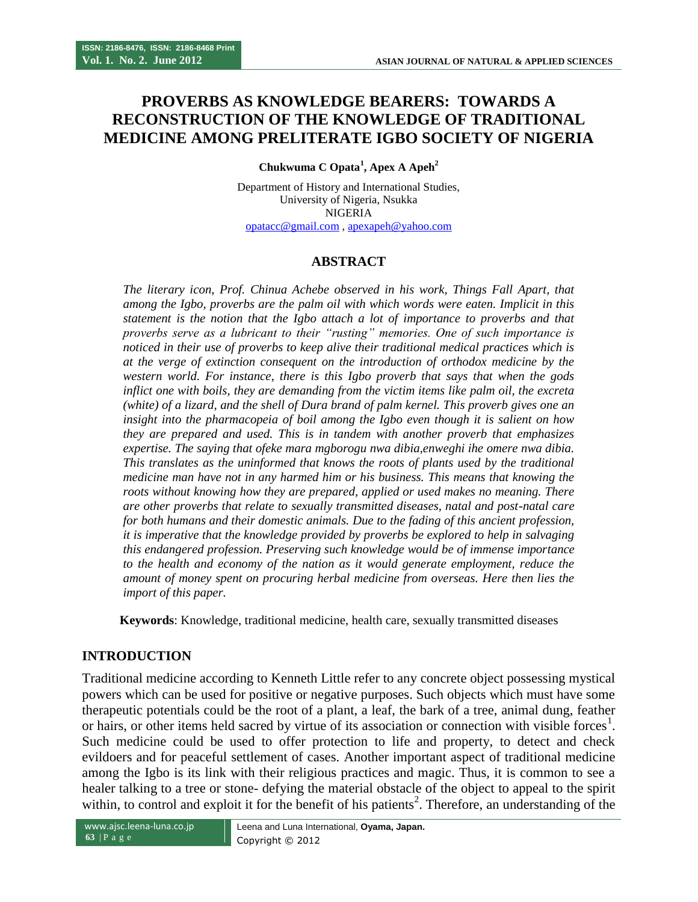# **PROVERBS AS KNOWLEDGE BEARERS: TOWARDS A RECONSTRUCTION OF THE KNOWLEDGE OF TRADITIONAL MEDICINE AMONG PRELITERATE IGBO SOCIETY OF NIGERIA**

**Chukwuma C Opata<sup>1</sup> , Apex A Apeh<sup>2</sup>**

Department of History and International Studies, University of Nigeria, Nsukka NIGERIA [opatacc@gmail.com](mailto:opatacc@gmail.com) , [apexapeh@yahoo.com](mailto:apexapeh@yahoo.com)

## **ABSTRACT**

*The literary icon, Prof. Chinua Achebe observed in his work, Things Fall Apart, that among the Igbo, proverbs are the palm oil with which words were eaten. Implicit in this statement is the notion that the Igbo attach a lot of importance to proverbs and that proverbs serve as a lubricant to their "rusting" memories. One of such importance is noticed in their use of proverbs to keep alive their traditional medical practices which is at the verge of extinction consequent on the introduction of orthodox medicine by the western world. For instance, there is this Igbo proverb that says that when the gods inflict one with boils, they are demanding from the victim items like palm oil, the excreta (white) of a lizard, and the shell of Dura brand of palm kernel. This proverb gives one an insight into the pharmacopeia of boil among the Igbo even though it is salient on how they are prepared and used. This is in tandem with another proverb that emphasizes expertise. The saying that ofeke mara mgborogu nwa dibia,enweghi ihe omere nwa dibia. This translates as the uninformed that knows the roots of plants used by the traditional medicine man have not in any harmed him or his business. This means that knowing the roots without knowing how they are prepared, applied or used makes no meaning. There are other proverbs that relate to sexually transmitted diseases, natal and post-natal care for both humans and their domestic animals. Due to the fading of this ancient profession, it is imperative that the knowledge provided by proverbs be explored to help in salvaging this endangered profession. Preserving such knowledge would be of immense importance to the health and economy of the nation as it would generate employment, reduce the amount of money spent on procuring herbal medicine from overseas. Here then lies the import of this paper.*

 **Keywords**: Knowledge, traditional medicine, health care, sexually transmitted diseases

#### **INTRODUCTION**

Traditional medicine according to Kenneth Little refer to any concrete object possessing mystical powers which can be used for positive or negative purposes. Such objects which must have some therapeutic potentials could be the root of a plant, a leaf, the bark of a tree, animal dung, feather or hairs, or other items held sacred by virtue of its association or connection with visible forces<sup>1</sup>. Such medicine could be used to offer protection to life and property, to detect and check evildoers and for peaceful settlement of cases. Another important aspect of traditional medicine among the Igbo is its link with their religious practices and magic. Thus, it is common to see a healer talking to a tree or stone- defying the material obstacle of the object to appeal to the spirit within, to control and exploit it for the benefit of his patients<sup>2</sup>. Therefore, an understanding of the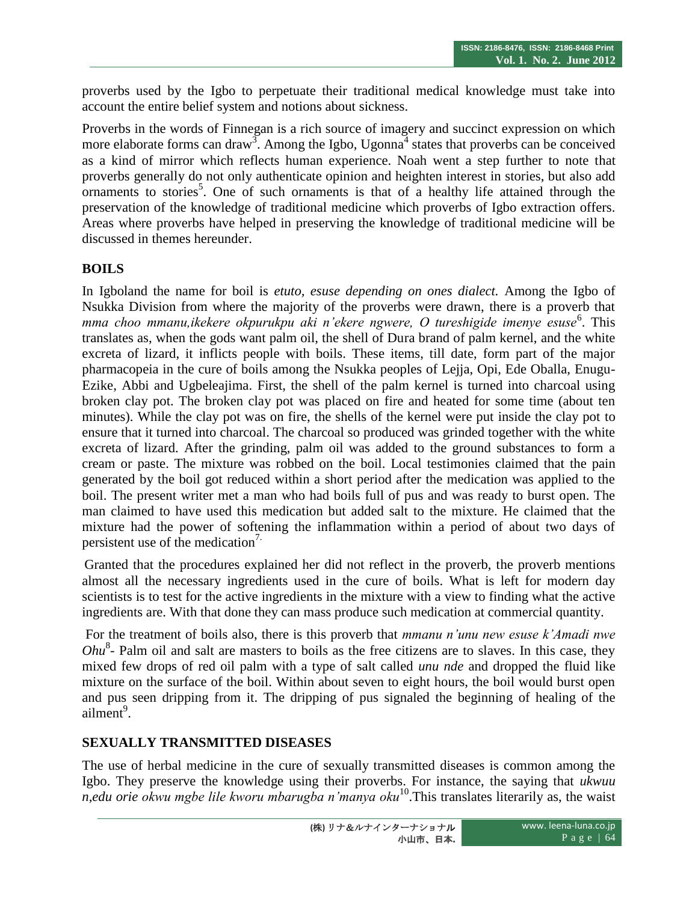proverbs used by the Igbo to perpetuate their traditional medical knowledge must take into account the entire belief system and notions about sickness.

Proverbs in the words of Finnegan is a rich source of imagery and succinct expression on which more elaborate forms can draw<sup>3</sup>. Among the Igbo, Ugonna<sup>4</sup> states that proverbs can be conceived as a kind of mirror which reflects human experience. Noah went a step further to note that proverbs generally do not only authenticate opinion and heighten interest in stories, but also add ornaments to stories<sup>5</sup>. One of such ornaments is that of a healthy life attained through the preservation of the knowledge of traditional medicine which proverbs of Igbo extraction offers. Areas where proverbs have helped in preserving the knowledge of traditional medicine will be discussed in themes hereunder.

#### **BOILS**

In Igboland the name for boil is *etuto, esuse depending on ones dialect.* Among the Igbo of Nsukka Division from where the majority of the proverbs were drawn, there is a proverb that mma choo mmanu, ikekere okpurukpu aki n'ekere ngwere, O tureshigide imenye esuse<sup>6</sup>. This translates as, when the gods want palm oil, the shell of Dura brand of palm kernel, and the white excreta of lizard, it inflicts people with boils. These items, till date, form part of the major pharmacopeia in the cure of boils among the Nsukka peoples of Lejja, Opi, Ede Oballa, Enugu-Ezike, Abbi and Ugbeleajima. First, the shell of the palm kernel is turned into charcoal using broken clay pot. The broken clay pot was placed on fire and heated for some time (about ten minutes). While the clay pot was on fire, the shells of the kernel were put inside the clay pot to ensure that it turned into charcoal. The charcoal so produced was grinded together with the white excreta of lizard. After the grinding, palm oil was added to the ground substances to form a cream or paste. The mixture was robbed on the boil. Local testimonies claimed that the pain generated by the boil got reduced within a short period after the medication was applied to the boil. The present writer met a man who had boils full of pus and was ready to burst open. The man claimed to have used this medication but added salt to the mixture. He claimed that the mixture had the power of softening the inflammation within a period of about two days of persistent use of the medication7.

Granted that the procedures explained her did not reflect in the proverb, the proverb mentions almost all the necessary ingredients used in the cure of boils. What is left for modern day scientists is to test for the active ingredients in the mixture with a view to finding what the active ingredients are. With that done they can mass produce such medication at commercial quantity.

For the treatment of boils also, there is this proverb that *mmanu n'unu new esuse k'Amadi nwe*  Ohu<sup>8</sup>- Palm oil and salt are masters to boils as the free citizens are to slaves. In this case, they mixed few drops of red oil palm with a type of salt called *unu nde* and dropped the fluid like mixture on the surface of the boil. Within about seven to eight hours, the boil would burst open and pus seen dripping from it. The dripping of pus signaled the beginning of healing of the  $\sin^9$ .

#### **SEXUALLY TRANSMITTED DISEASES**

The use of herbal medicine in the cure of sexually transmitted diseases is common among the Igbo. They preserve the knowledge using their proverbs. For instance, the saying that *ukwuu n,edu orie okwu mgbe lile kworu mbarugba n'manya oku*<sup>10</sup>.This translates literarily as, the waist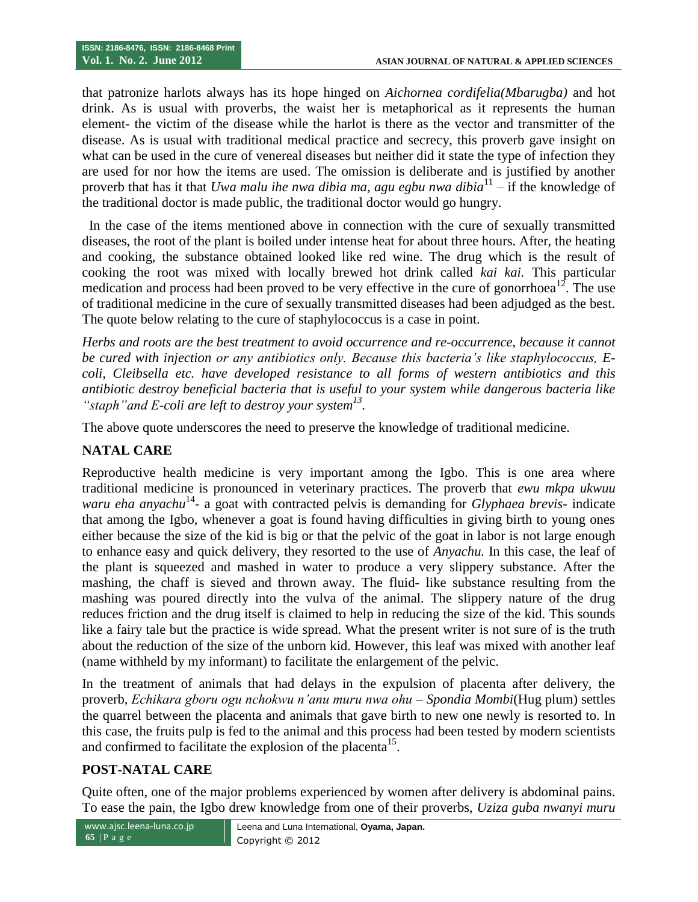that patronize harlots always has its hope hinged on *Aichornea cordifelia(Mbarugba)* and hot drink. As is usual with proverbs, the waist her is metaphorical as it represents the human element- the victim of the disease while the harlot is there as the vector and transmitter of the disease. As is usual with traditional medical practice and secrecy, this proverb gave insight on what can be used in the cure of venereal diseases but neither did it state the type of infection they are used for nor how the items are used. The omission is deliberate and is justified by another proverb that has it that *Uwa malu ihe nwa dibia ma, agu egbu nwa dibia*<sup>11</sup> – if the knowledge of the traditional doctor is made public, the traditional doctor would go hungry.

 In the case of the items mentioned above in connection with the cure of sexually transmitted diseases, the root of the plant is boiled under intense heat for about three hours. After, the heating and cooking, the substance obtained looked like red wine. The drug which is the result of cooking the root was mixed with locally brewed hot drink called *kai kai.* This particular medication and process had been proved to be very effective in the cure of gonorrhoea<sup>12</sup>. The use of traditional medicine in the cure of sexually transmitted diseases had been adjudged as the best. The quote below relating to the cure of staphylococcus is a case in point.

*Herbs and roots are the best treatment to avoid occurrence and re-occurrence, because it cannot be cured with injection or any antibiotics only. Because this bacteria's like staphylococcus, Ecoli, Cleibsella etc. have developed resistance to all forms of western antibiotics and this antibiotic destroy beneficial bacteria that is useful to your system while dangerous bacteria like "staph"and E-coli are left to destroy your system<sup>13</sup> .*

The above quote underscores the need to preserve the knowledge of traditional medicine.

# **NATAL CARE**

Reproductive health medicine is very important among the Igbo. This is one area where traditional medicine is pronounced in veterinary practices. The proverb that *ewu mkpa ukwuu*  waru eha anyachu<sup>14</sup>- a goat with contracted pelvis is demanding for *Glyphaea brevis*- indicate that among the Igbo, whenever a goat is found having difficulties in giving birth to young ones either because the size of the kid is big or that the pelvic of the goat in labor is not large enough to enhance easy and quick delivery, they resorted to the use of *Anyachu.* In this case, the leaf of the plant is squeezed and mashed in water to produce a very slippery substance. After the mashing, the chaff is sieved and thrown away. The fluid- like substance resulting from the mashing was poured directly into the vulva of the animal. The slippery nature of the drug reduces friction and the drug itself is claimed to help in reducing the size of the kid. This sounds like a fairy tale but the practice is wide spread. What the present writer is not sure of is the truth about the reduction of the size of the unborn kid. However, this leaf was mixed with another leaf (name withheld by my informant) to facilitate the enlargement of the pelvic.

In the treatment of animals that had delays in the expulsion of placenta after delivery, the proverb, *Echikara gboru ogu nchokwu n'anu muru nwa ohu* – *Spondia Mombi*(Hug plum) settles the quarrel between the placenta and animals that gave birth to new one newly is resorted to. In this case, the fruits pulp is fed to the animal and this process had been tested by modern scientists and confirmed to facilitate the explosion of the placenta<sup>15</sup>.

#### **POST-NATAL CARE**

Quite often, one of the major problems experienced by women after delivery is abdominal pains. To ease the pain, the Igbo drew knowledge from one of their proverbs, *Uziza guba nwanyi muru*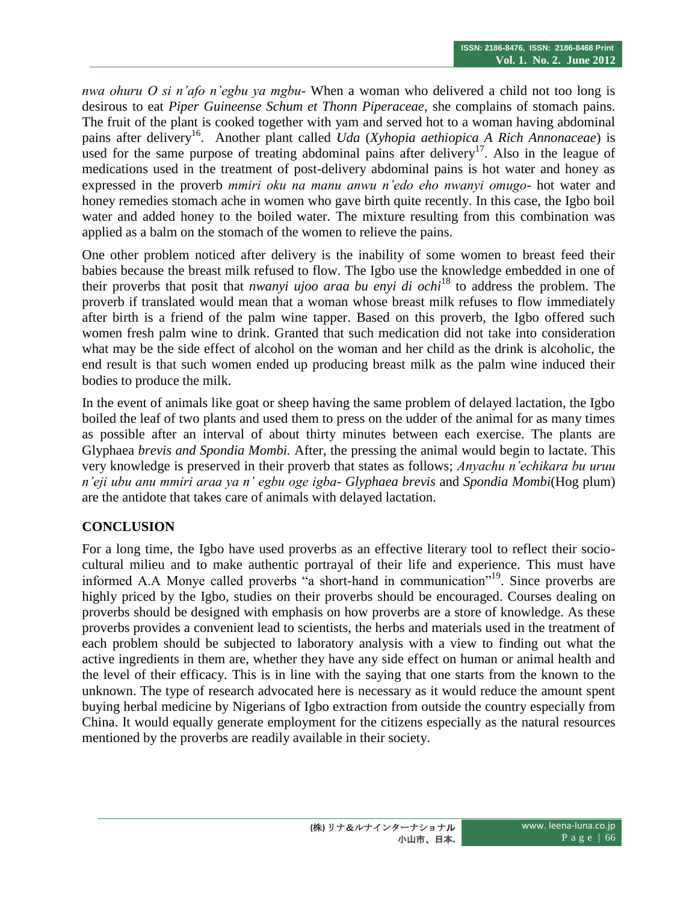*nwa ohuru O si n'afo n'egbu ya mgbu*- When a woman who delivered a child not too long is desirous to eat *Piper Guineense Schum et Thonn Piperaceae*, she complains of stomach pains. The fruit of the plant is cooked together with yam and served hot to a woman having abdominal pains after delivery<sup>16</sup>. Another plant called *Uda* (*Xyhopia aethiopica A Rich Annonaceae*) is used for the same purpose of treating abdominal pains after delivery<sup>17</sup>. Also in the league of medications used in the treatment of post-delivery abdominal pains is hot water and honey as expressed in the proverb *mmiri oku na manu anwu n'edo eho nwanyi omugo*- hot water and honey remedies stomach ache in women who gave birth quite recently. In this case, the Igbo boil water and added honey to the boiled water. The mixture resulting from this combination was applied as a balm on the stomach of the women to relieve the pains.

One other problem noticed after delivery is the inability of some women to breast feed their babies because the breast milk refused to flow. The Igbo use the knowledge embedded in one of their proverbs that posit that *nwanyi ujoo araa bu enyi di ochi*<sup>18</sup> to address the problem. The proverb if translated would mean that a woman whose breast milk refuses to flow immediately after birth is a friend of the palm wine tapper. Based on this proverb, the Igbo offered such women fresh palm wine to drink. Granted that such medication did not take into consideration what may be the side effect of alcohol on the woman and her child as the drink is alcoholic, the end result is that such women ended up producing breast milk as the palm wine induced their bodies to produce the milk.

In the event of animals like goat or sheep having the same problem of delayed lactation, the Igbo boiled the leaf of two plants and used them to press on the udder of the animal for as many times as possible after an interval of about thirty minutes between each exercise. The plants are Glyphaea *brevis and Spondia Mombi.* After, the pressing the animal would begin to lactate. This very knowledge is preserved in their proverb that states as follows; *Anyachu n'echikara bu uruu n'eji ubu anu mmiri araa ya n' egbu oge igba- Glyphaea brevis* and *Spondia Mombi*(Hog plum) are the antidote that takes care of animals with delayed lactation.

# **CONCLUSION**

For a long time, the Igbo have used proverbs as an effective literary tool to reflect their sociocultural milieu and to make authentic portrayal of their life and experience. This must have informed A.A Monye called proverbs "a short-hand in communication"<sup>19</sup>. Since proverbs are highly priced by the Igbo, studies on their proverbs should be encouraged. Courses dealing on proverbs should be designed with emphasis on how proverbs are a store of knowledge. As these proverbs provides a convenient lead to scientists, the herbs and materials used in the treatment of each problem should be subjected to laboratory analysis with a view to finding out what the active ingredients in them are, whether they have any side effect on human or animal health and the level of their efficacy. This is in line with the saying that one starts from the known to the unknown. The type of research advocated here is necessary as it would reduce the amount spent buying herbal medicine by Nigerians of Igbo extraction from outside the country especially from China. It would equally generate employment for the citizens especially as the natural resources mentioned by the proverbs are readily available in their society.